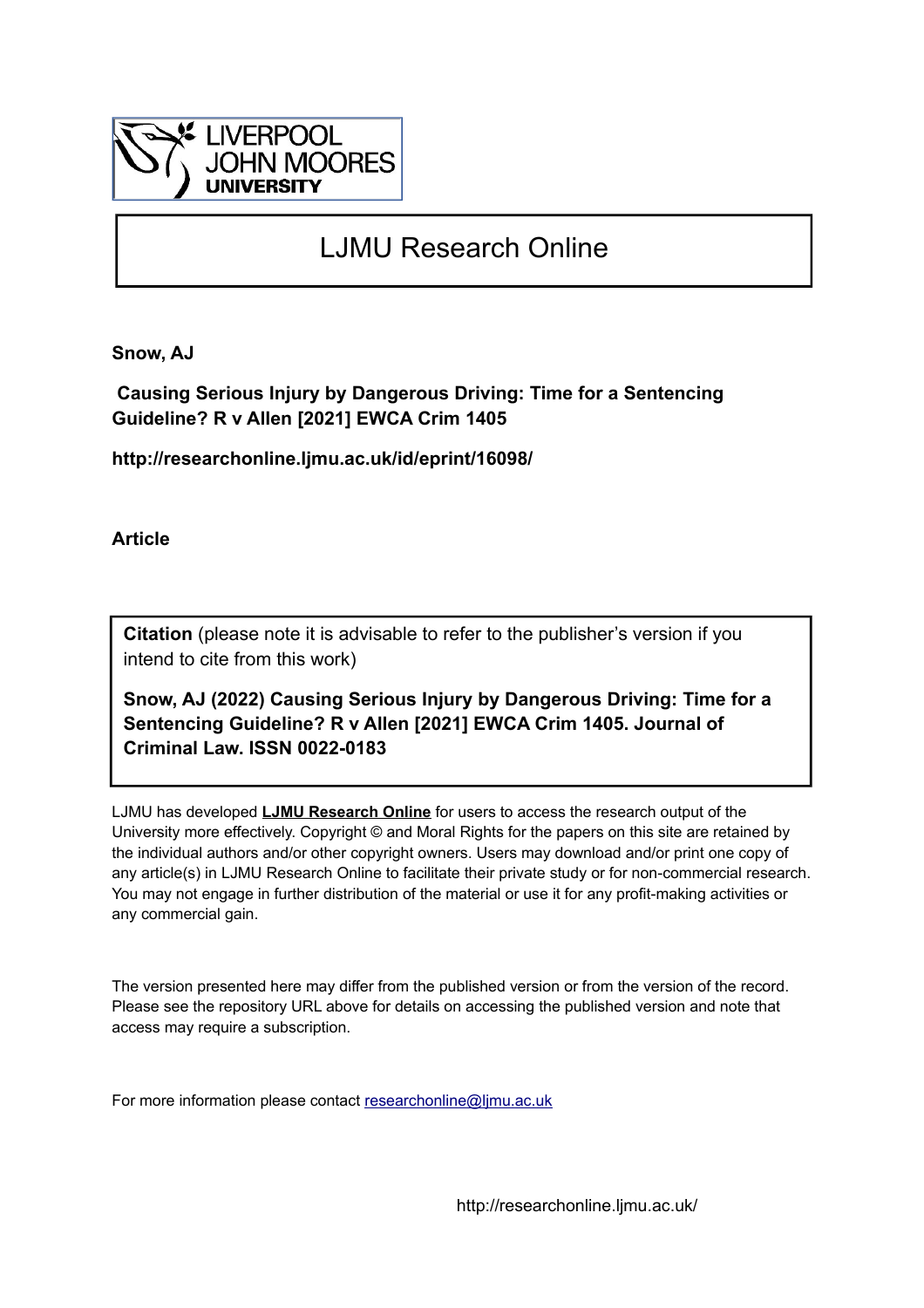

# LJMU Research Online

**Snow, AJ**

 **Causing Serious Injury by Dangerous Driving: Time for a Sentencing Guideline? R v Allen [2021] EWCA Crim 1405**

**http://researchonline.ljmu.ac.uk/id/eprint/16098/**

**Article**

**Citation** (please note it is advisable to refer to the publisher's version if you intend to cite from this work)

**Snow, AJ (2022) Causing Serious Injury by Dangerous Driving: Time for a Sentencing Guideline? R v Allen [2021] EWCA Crim 1405. Journal of Criminal Law. ISSN 0022-0183** 

LJMU has developed **[LJMU Research Online](http://researchonline.ljmu.ac.uk/)** for users to access the research output of the University more effectively. Copyright © and Moral Rights for the papers on this site are retained by the individual authors and/or other copyright owners. Users may download and/or print one copy of any article(s) in LJMU Research Online to facilitate their private study or for non-commercial research. You may not engage in further distribution of the material or use it for any profit-making activities or any commercial gain.

The version presented here may differ from the published version or from the version of the record. Please see the repository URL above for details on accessing the published version and note that access may require a subscription.

For more information please contact [researchonline@ljmu.ac.uk](mailto:researchonline@ljmu.ac.uk)

http://researchonline.ljmu.ac.uk/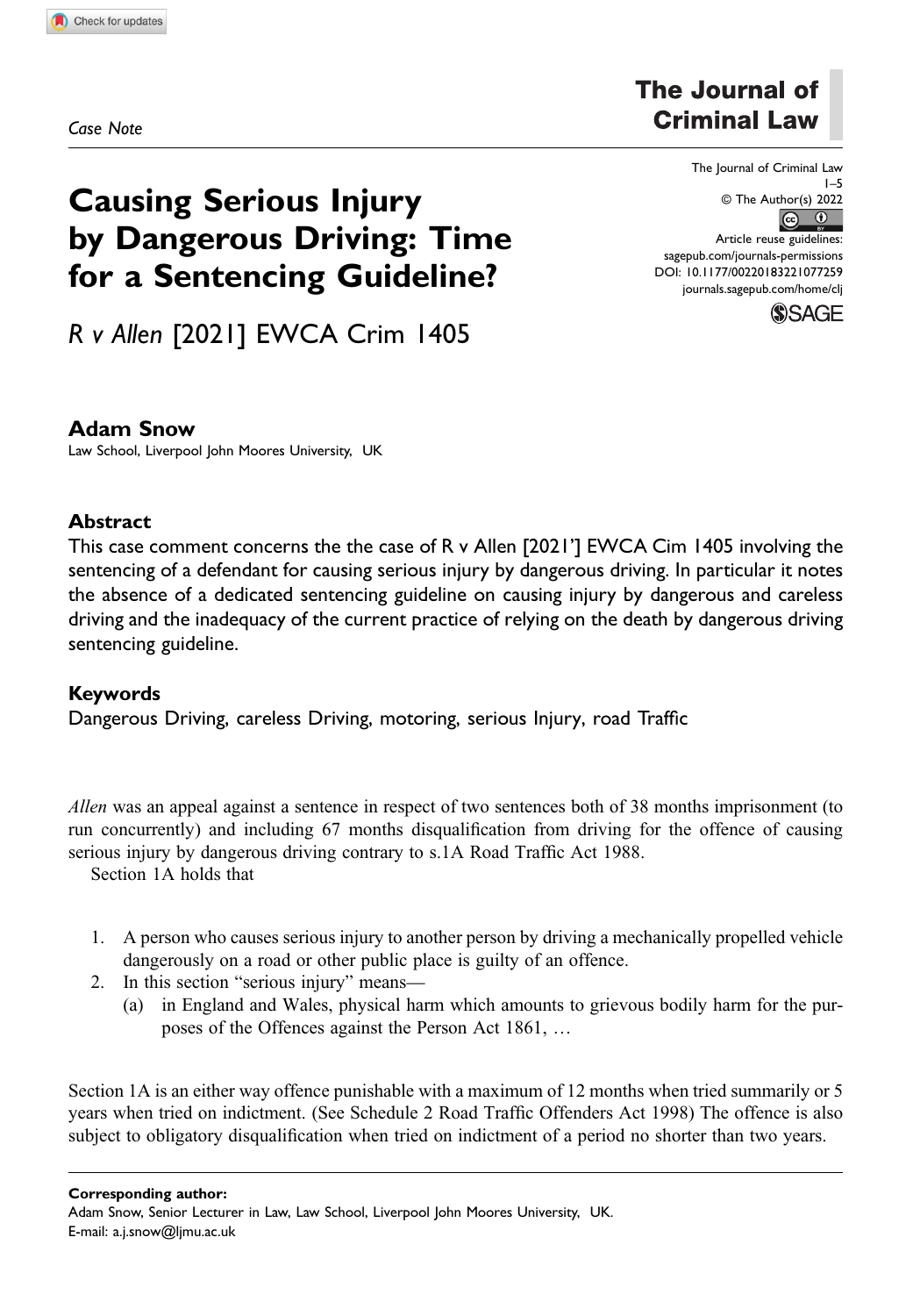Case Note

# The Journal of **Criminal Law**

# Causing Serious Injury by Dangerous Driving: Time for a Sentencing Guideline?

R v Allen [2021] EWCA Crim 1405

## Adam Snow

Law School, Liverpool John Moores University, UK

### Abstract

This case comment concerns the the case of R v Allen [2021'] EWCA Cim 1405 involving the sentencing of a defendant for causing serious injury by dangerous driving. In particular it notes the absence of a dedicated sentencing guideline on causing injury by dangerous and careless driving and the inadequacy of the current practice of relying on the death by dangerous driving sentencing guideline.

#### Keywords

Dangerous Driving, careless Driving, motoring, serious Injury, road Traffic

Allen was an appeal against a sentence in respect of two sentences both of 38 months imprisonment (to run concurrently) and including 67 months disqualification from driving for the offence of causing serious injury by dangerous driving contrary to s.1A Road Traffic Act 1988.

Section 1A holds that

- 1. A person who causes serious injury to another person by driving a mechanically propelled vehicle dangerously on a road or other public place is guilty of an offence.
- 2. In this section "serious injury" means—
	- (a) in England and Wales, physical harm which amounts to grievous bodily harm for the purposes of the Offences against the Person Act 1861, …

Section 1A is an either way offence punishable with a maximum of 12 months when tried summarily or 5 years when tried on indictment. (See Schedule 2 Road Traffic Offenders Act 1998) The offence is also subject to obligatory disqualification when tried on indictment of a period no shorter than two years.

Corresponding author:



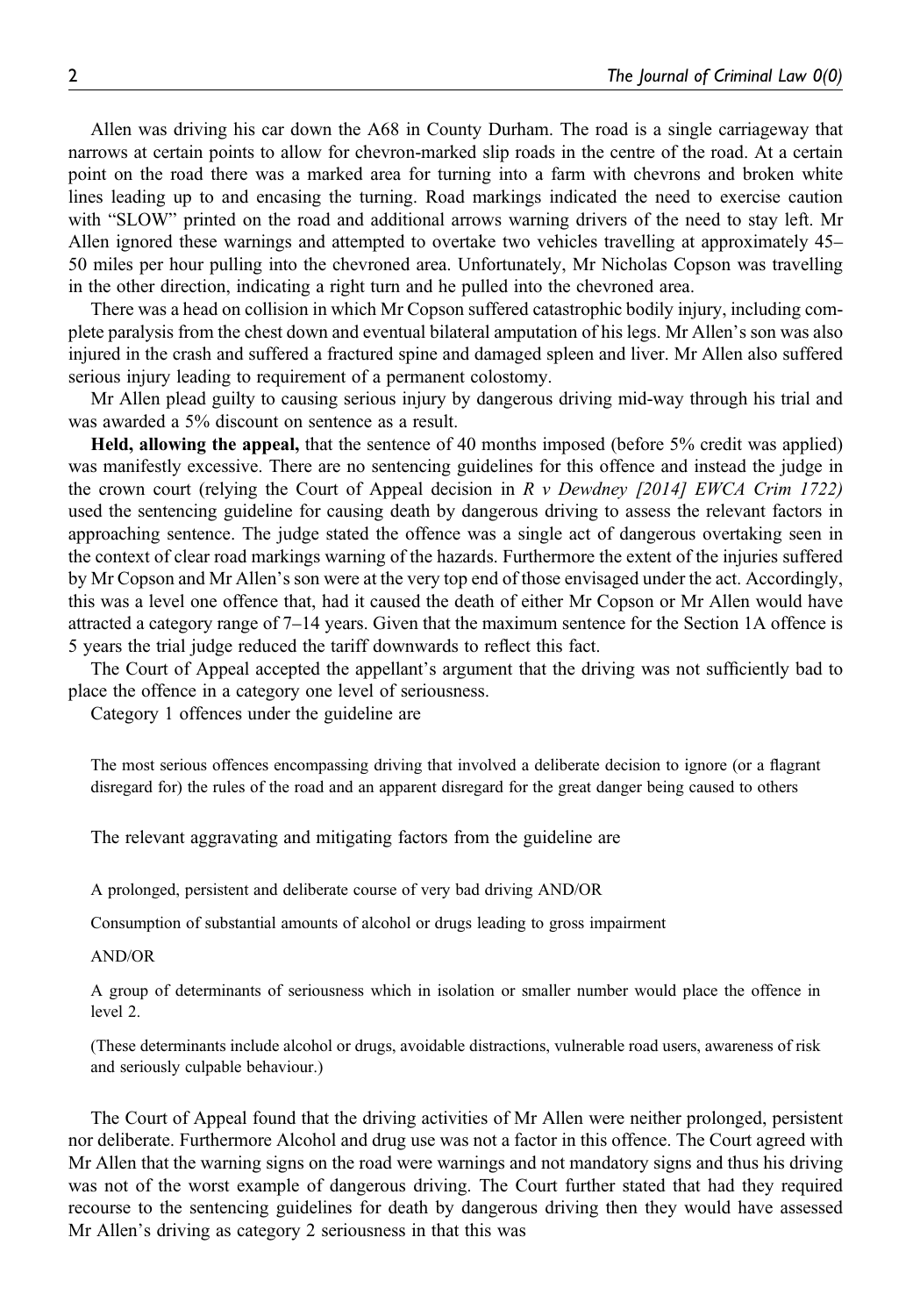Allen was driving his car down the A68 in County Durham. The road is a single carriageway that narrows at certain points to allow for chevron-marked slip roads in the centre of the road. At a certain point on the road there was a marked area for turning into a farm with chevrons and broken white lines leading up to and encasing the turning. Road markings indicated the need to exercise caution with "SLOW" printed on the road and additional arrows warning drivers of the need to stay left. Mr Allen ignored these warnings and attempted to overtake two vehicles travelling at approximately 45– 50 miles per hour pulling into the chevroned area. Unfortunately, Mr Nicholas Copson was travelling in the other direction, indicating a right turn and he pulled into the chevroned area.

There was a head on collision in which Mr Copson suffered catastrophic bodily injury, including complete paralysis from the chest down and eventual bilateral amputation of his legs. Mr Allen's son was also injured in the crash and suffered a fractured spine and damaged spleen and liver. Mr Allen also suffered serious injury leading to requirement of a permanent colostomy.

Mr Allen plead guilty to causing serious injury by dangerous driving mid-way through his trial and was awarded a 5% discount on sentence as a result.

Held, allowing the appeal, that the sentence of 40 months imposed (before 5% credit was applied) was manifestly excessive. There are no sentencing guidelines for this offence and instead the judge in the crown court (relying the Court of Appeal decision in R v Dewdney [2014] EWCA Crim 1722) used the sentencing guideline for causing death by dangerous driving to assess the relevant factors in approaching sentence. The judge stated the offence was a single act of dangerous overtaking seen in the context of clear road markings warning of the hazards. Furthermore the extent of the injuries suffered by Mr Copson and Mr Allen's son were at the very top end of those envisaged under the act. Accordingly, this was a level one offence that, had it caused the death of either Mr Copson or Mr Allen would have attracted a category range of 7–14 years. Given that the maximum sentence for the Section 1A offence is 5 years the trial judge reduced the tariff downwards to reflect this fact.

The Court of Appeal accepted the appellant's argument that the driving was not sufficiently bad to place the offence in a category one level of seriousness.

Category 1 offences under the guideline are

The most serious offences encompassing driving that involved a deliberate decision to ignore (or a flagrant disregard for) the rules of the road and an apparent disregard for the great danger being caused to others

The relevant aggravating and mitigating factors from the guideline are

A prolonged, persistent and deliberate course of very bad driving AND/OR

Consumption of substantial amounts of alcohol or drugs leading to gross impairment

AND/OR

A group of determinants of seriousness which in isolation or smaller number would place the offence in level 2.

(These determinants include alcohol or drugs, avoidable distractions, vulnerable road users, awareness of risk and seriously culpable behaviour.)

The Court of Appeal found that the driving activities of Mr Allen were neither prolonged, persistent nor deliberate. Furthermore Alcohol and drug use was not a factor in this offence. The Court agreed with Mr Allen that the warning signs on the road were warnings and not mandatory signs and thus his driving was not of the worst example of dangerous driving. The Court further stated that had they required recourse to the sentencing guidelines for death by dangerous driving then they would have assessed Mr Allen's driving as category 2 seriousness in that this was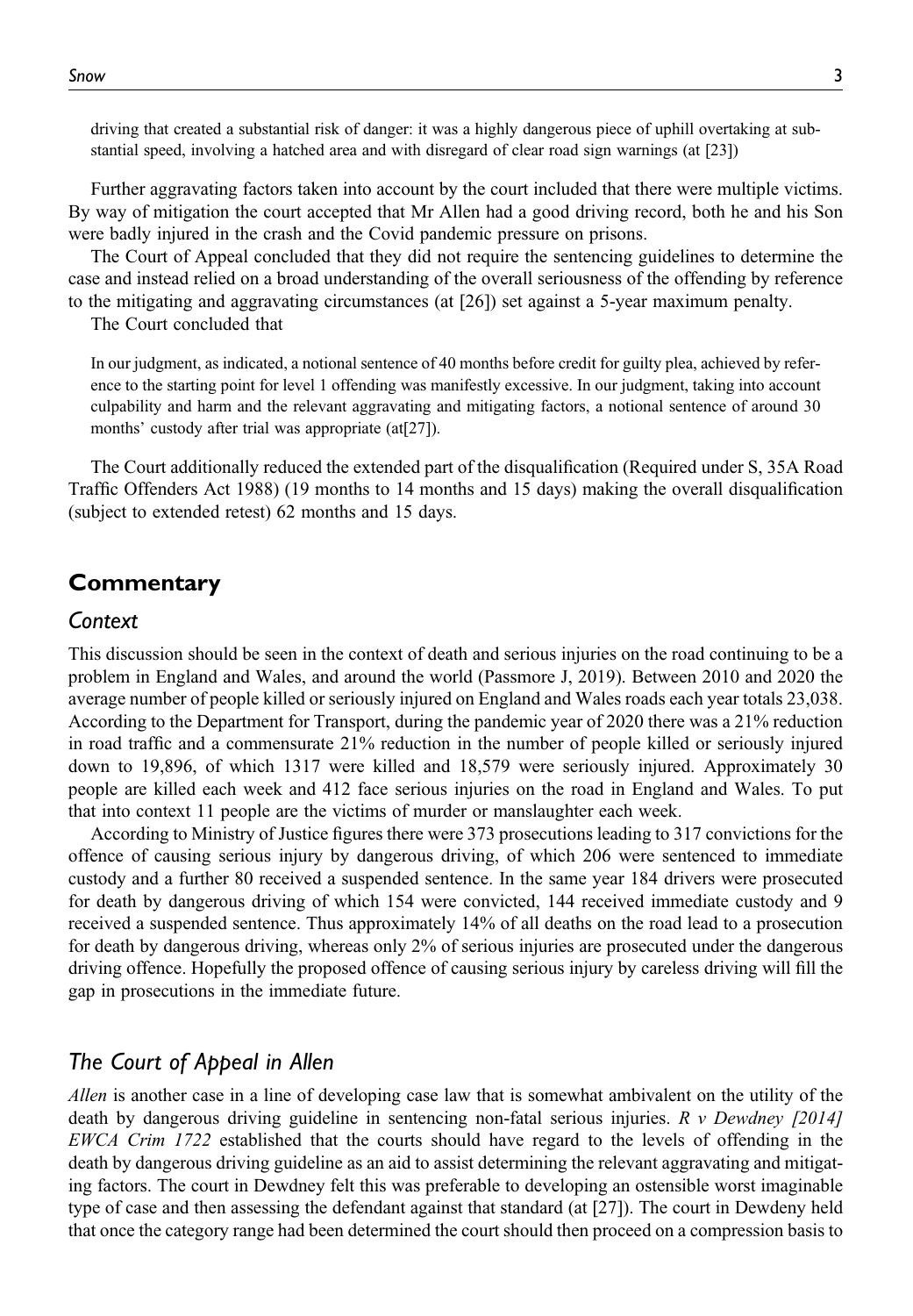driving that created a substantial risk of danger: it was a highly dangerous piece of uphill overtaking at substantial speed, involving a hatched area and with disregard of clear road sign warnings (at [23])

Further aggravating factors taken into account by the court included that there were multiple victims. By way of mitigation the court accepted that Mr Allen had a good driving record, both he and his Son were badly injured in the crash and the Covid pandemic pressure on prisons.

The Court of Appeal concluded that they did not require the sentencing guidelines to determine the case and instead relied on a broad understanding of the overall seriousness of the offending by reference to the mitigating and aggravating circumstances (at [26]) set against a 5-year maximum penalty.

The Court concluded that

In our judgment, as indicated, a notional sentence of 40 months before credit for guilty plea, achieved by reference to the starting point for level 1 offending was manifestly excessive. In our judgment, taking into account culpability and harm and the relevant aggravating and mitigating factors, a notional sentence of around 30 months' custody after trial was appropriate (at[27]).

The Court additionally reduced the extended part of the disqualification (Required under S, 35A Road Traffic Offenders Act 1988) (19 months to 14 months and 15 days) making the overall disqualification (subject to extended retest) 62 months and 15 days.

#### **Commentary**

#### **Context**

This discussion should be seen in the context of death and serious injuries on the road continuing to be a problem in England and Wales, and around the world (Passmore J, 2019). Between 2010 and 2020 the average number of people killed or seriously injured on England and Wales roads each year totals 23,038. According to the Department for Transport, during the pandemic year of 2020 there was a 21% reduction in road traffic and a commensurate 21% reduction in the number of people killed or seriously injured down to 19,896, of which 1317 were killed and 18,579 were seriously injured. Approximately 30 people are killed each week and 412 face serious injuries on the road in England and Wales. To put that into context 11 people are the victims of murder or manslaughter each week.

According to Ministry of Justice figures there were 373 prosecutions leading to 317 convictions for the offence of causing serious injury by dangerous driving, of which 206 were sentenced to immediate custody and a further 80 received a suspended sentence. In the same year 184 drivers were prosecuted for death by dangerous driving of which 154 were convicted, 144 received immediate custody and 9 received a suspended sentence. Thus approximately 14% of all deaths on the road lead to a prosecution for death by dangerous driving, whereas only 2% of serious injuries are prosecuted under the dangerous driving offence. Hopefully the proposed offence of causing serious injury by careless driving will fill the gap in prosecutions in the immediate future.

#### The Court of Appeal in Allen

Allen is another case in a line of developing case law that is somewhat ambivalent on the utility of the death by dangerous driving guideline in sentencing non-fatal serious injuries.  $R \, v \, Dewlney$  [2014] EWCA Crim 1722 established that the courts should have regard to the levels of offending in the death by dangerous driving guideline as an aid to assist determining the relevant aggravating and mitigating factors. The court in Dewdney felt this was preferable to developing an ostensible worst imaginable type of case and then assessing the defendant against that standard (at [27]). The court in Dewdeny held that once the category range had been determined the court should then proceed on a compression basis to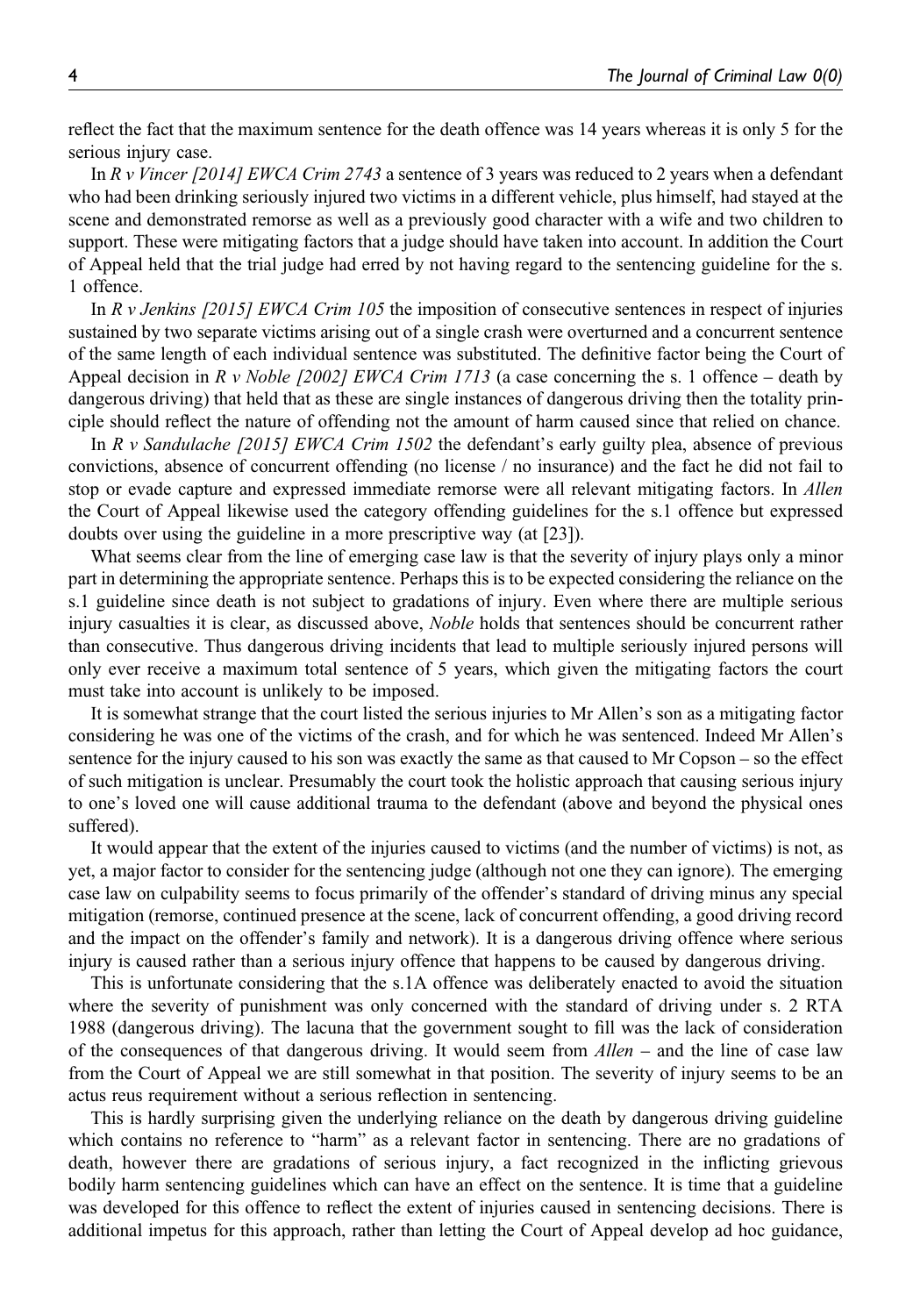reflect the fact that the maximum sentence for the death offence was 14 years whereas it is only 5 for the serious injury case.

In R v Vincer [2014] EWCA Crim 2743 a sentence of 3 years was reduced to 2 years when a defendant who had been drinking seriously injured two victims in a different vehicle, plus himself, had stayed at the scene and demonstrated remorse as well as a previously good character with a wife and two children to support. These were mitigating factors that a judge should have taken into account. In addition the Court of Appeal held that the trial judge had erred by not having regard to the sentencing guideline for the s. 1 offence.

In R v Jenkins [2015] EWCA Crim 105 the imposition of consecutive sentences in respect of injuries sustained by two separate victims arising out of a single crash were overturned and a concurrent sentence of the same length of each individual sentence was substituted. The definitive factor being the Court of Appeal decision in R v Noble [2002] EWCA Crim 1713 (a case concerning the s. 1 offence – death by dangerous driving) that held that as these are single instances of dangerous driving then the totality principle should reflect the nature of offending not the amount of harm caused since that relied on chance.

In R v Sandulache  $[2015]$  EWCA Crim 1502 the defendant's early guilty plea, absence of previous convictions, absence of concurrent offending (no license / no insurance) and the fact he did not fail to stop or evade capture and expressed immediate remorse were all relevant mitigating factors. In Allen the Court of Appeal likewise used the category offending guidelines for the s.1 offence but expressed doubts over using the guideline in a more prescriptive way (at [23]).

What seems clear from the line of emerging case law is that the severity of injury plays only a minor part in determining the appropriate sentence. Perhaps this is to be expected considering the reliance on the s.1 guideline since death is not subject to gradations of injury. Even where there are multiple serious injury casualties it is clear, as discussed above, *Noble* holds that sentences should be concurrent rather than consecutive. Thus dangerous driving incidents that lead to multiple seriously injured persons will only ever receive a maximum total sentence of 5 years, which given the mitigating factors the court must take into account is unlikely to be imposed.

It is somewhat strange that the court listed the serious injuries to Mr Allen's son as a mitigating factor considering he was one of the victims of the crash, and for which he was sentenced. Indeed Mr Allen's sentence for the injury caused to his son was exactly the same as that caused to Mr Copson – so the effect of such mitigation is unclear. Presumably the court took the holistic approach that causing serious injury to one's loved one will cause additional trauma to the defendant (above and beyond the physical ones suffered).

It would appear that the extent of the injuries caused to victims (and the number of victims) is not, as yet, a major factor to consider for the sentencing judge (although not one they can ignore). The emerging case law on culpability seems to focus primarily of the offender's standard of driving minus any special mitigation (remorse, continued presence at the scene, lack of concurrent offending, a good driving record and the impact on the offender's family and network). It is a dangerous driving offence where serious injury is caused rather than a serious injury offence that happens to be caused by dangerous driving.

This is unfortunate considering that the s.1A offence was deliberately enacted to avoid the situation where the severity of punishment was only concerned with the standard of driving under s. 2 RTA 1988 (dangerous driving). The lacuna that the government sought to fill was the lack of consideration of the consequences of that dangerous driving. It would seem from  $Allen -$  and the line of case law from the Court of Appeal we are still somewhat in that position. The severity of injury seems to be an actus reus requirement without a serious reflection in sentencing.

This is hardly surprising given the underlying reliance on the death by dangerous driving guideline which contains no reference to "harm" as a relevant factor in sentencing. There are no gradations of death, however there are gradations of serious injury, a fact recognized in the inflicting grievous bodily harm sentencing guidelines which can have an effect on the sentence. It is time that a guideline was developed for this offence to reflect the extent of injuries caused in sentencing decisions. There is additional impetus for this approach, rather than letting the Court of Appeal develop ad hoc guidance,